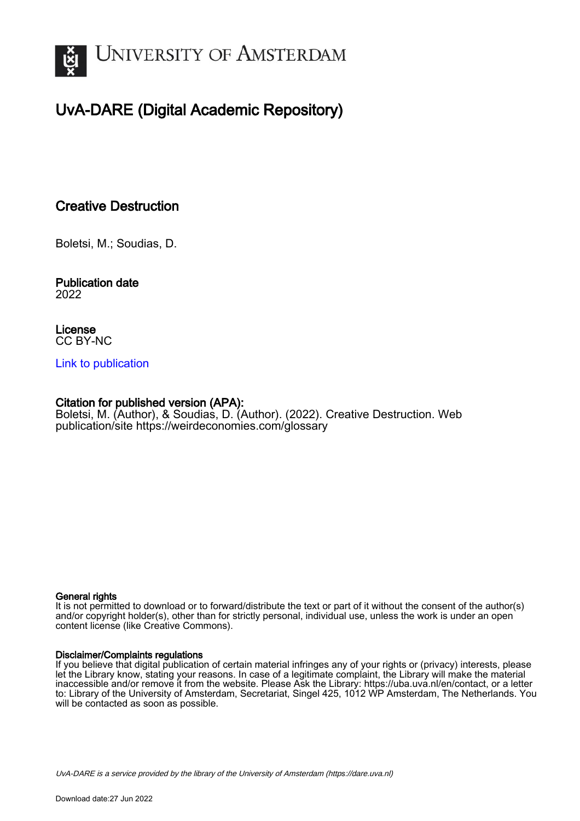

# UvA-DARE (Digital Academic Repository)

# Creative Destruction

Boletsi, M.; Soudias, D.

#### Publication date 2022

License CC BY-NC

### [Link to publication](https://dare.uva.nl/personal/pure/en/publications/creative-destruction(62c0ff1e-bb87-4e2e-876a-2160821e46cb).html)

### Citation for published version (APA):

Boletsi, M. (Author), & Soudias, D. (Author). (2022). Creative Destruction. Web publication/site <https://weirdeconomies.com/glossary>

#### General rights

It is not permitted to download or to forward/distribute the text or part of it without the consent of the author(s) and/or copyright holder(s), other than for strictly personal, individual use, unless the work is under an open content license (like Creative Commons).

#### Disclaimer/Complaints regulations

If you believe that digital publication of certain material infringes any of your rights or (privacy) interests, please let the Library know, stating your reasons. In case of a legitimate complaint, the Library will make the material inaccessible and/or remove it from the website. Please Ask the Library: https://uba.uva.nl/en/contact, or a letter to: Library of the University of Amsterdam, Secretariat, Singel 425, 1012 WP Amsterdam, The Netherlands. You will be contacted as soon as possible.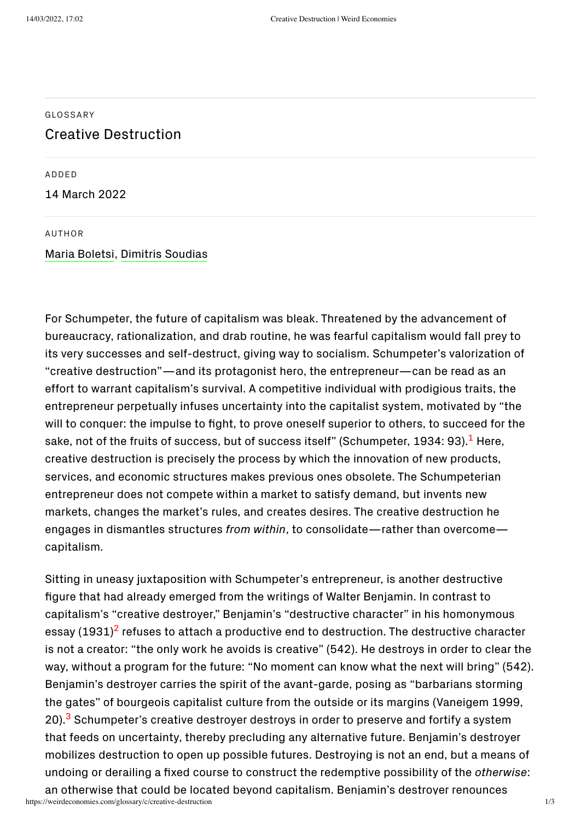#### [GLOSSARY](https://weirdeconomies.com/glossary)

## Creative Destruction

ADDED

14 March 2022

#### AUTHOR

### Maria [Boletsi](https://weirdeconomies.com/stakeholders/maria-boletsi), Dimitris [Soudias](https://weirdeconomies.com/stakeholders/dimitris-soudias)

<span id="page-1-0"></span>For Schumpeter, the future of capitalism was bleak. Threatened by the advancement of bureaucracy, rationalization, and drab routine, he was fearful capitalism would fall prey to its very successes and self-destruct, giving way to socialism. Schumpeter's valorization of "creative destruction"—and its protagonist hero, the entrepreneur—can be read as an effort to warrant capitalism's survival. A competitive individual with prodigious traits, the entrepreneur perpetually infuses uncertainty into the capitalist system, motivated by "the will to conquer: the impulse to fight, to prove oneself superior to others, to succeed for the sake, not of the fruits of success, but of success itself" (Schumpeter, [1](#page-2-0)934: 93). $^{\rm 1}$  Here, creative destruction is precisely the process by which the innovation of new products, services, and economic structures makes previous ones obsolete. The Schumpeterian entrepreneur does not compete within a market to satisfy demand, but invents new markets, changes the market's rules, and creates desires. The creative destruction he engages in dismantles structures *from within*, to consolidate—rather than overcome capitalism.

<span id="page-1-2"></span><span id="page-1-1"></span>Sitting in uneasy juxtaposition with Schumpeter's entrepreneur, is another destructive figure that had already emerged from the writings of Walter Benjamin. In contrast to capitalism's "creative destroyer," Benjamin's "destructive character" in his homonymous essay (1931)<sup>[2](#page-2-1)</sup> refuses to attach a productive end to destruction. The destructive character is not a creator: "the only work he avoids is creative" (542). He destroys in order to clear the way, without a program for the future: "No moment can know what the next will bring" (542). Benjamin's destroyer carries the spirit of the avant-garde, posing as "barbarians storming the gates" of bourgeois capitalist culture from the outside or its margins (Vaneigem 1999, 20).<sup>[3](#page-2-2)</sup> Schumpeter's creative destroyer destroys in order to preserve and fortify a system that feeds on uncertainty, thereby precluding any alternative future. Benjamin's destroyer mobilizes destruction to open up possible futures. Destroying is not an end, but a means of undoing or derailing a fixed course to construct the redemptive possibility of the *otherwise*: an otherwise that could be located beyond capitalism. Benjamin's destroyer renounces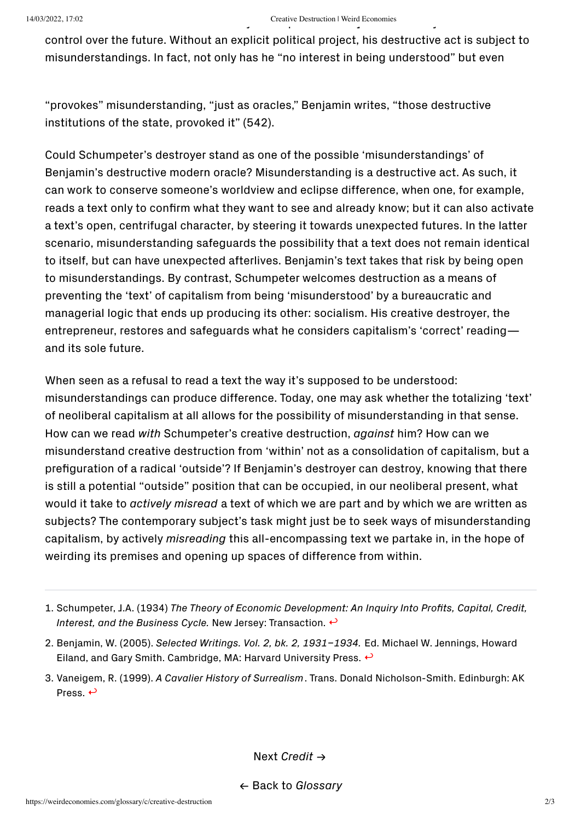# 14/03/2022, 17:02 Creative Destruction | Weird Economies

control over the future. Without an explicit political project, his destructive act is subject to misunderstandings. In fact, not only has he "no interest in being understood" but even

"provokes" misunderstanding, "just as oracles," Benjamin writes, "those destructive institutions of the state, provoked it" (542).

Could Schumpeter's destroyer stand as one of the possible 'misunderstandings' of Benjamin's destructive modern oracle? Misunderstanding is a destructive act. As such, it can work to conserve someone's worldview and eclipse difference, when one, for example, reads a text only to confirm what they want to see and already know; but it can also activate a text's open, centrifugal character, by steering it towards unexpected futures. In the latter scenario, misunderstanding safeguards the possibility that a text does not remain identical to itself, but can have unexpected afterlives. Benjamin's text takes that risk by being open to misunderstandings. By contrast, Schumpeter welcomes destruction as a means of preventing the 'text' of capitalism from being 'misunderstood' by a bureaucratic and managerial logic that ends up producing its other: socialism. His creative destroyer, the entrepreneur, restores and safeguards what he considers capitalism's 'correct' reading and its sole future.

When seen as a refusal to read a text the way it's supposed to be understood: misunderstandings can produce difference. Today, one may ask whether the totalizing 'text' of neoliberal capitalism at all allows for the possibility of misunderstanding in that sense. How can we read *with* Schumpeter's creative destruction, *against* him? How can we misunderstand creative destruction from 'within' not as a consolidation of capitalism, but a prefiguration of a radical 'outside'? If Benjamin's destroyer can destroy, knowing that there is still a potential "outside" position that can be occupied, in our neoliberal present, what would it take to *actively misread* a text of which we are part and by which we are written as subjects? The contemporary subject's task might just be to seek ways of misunderstanding capitalism, by actively *misreading* this all-encompassing text we partake in, in the hope of weirding its premises and opening up spaces of difference from within.

Next *[Credit](https://weirdeconomies.com/glossary/c/credit)* →

← Back to *[Glossary](https://weirdeconomies.com/glossary)*

<span id="page-2-0"></span><sup>1.</sup> Schumpeter, J.A. (1934) *The Theory of Economic Development: An Inquiry Into Profits, Capital, Credit, Interest, and the Business Cycle.* New Jersey: Transaction. [↩](#page-1-0)

<span id="page-2-1"></span><sup>2.</sup> Benjamin, W. (2005). *Selected Writings. Vol. 2, bk. 2, 1931–1934.* Ed. Michael W. Jennings, Howard Eiland, and Gary Smith. Cambridge, MA: Harvard University Press.  $\leftrightarrow$ 

<span id="page-2-2"></span><sup>3.</sup> Vaneigem, R. (1999). *A Cavalier History of Surrealism*. Trans. Donald Nicholson-Smith. Edinburgh: AK Press.  $\leftrightarrow$